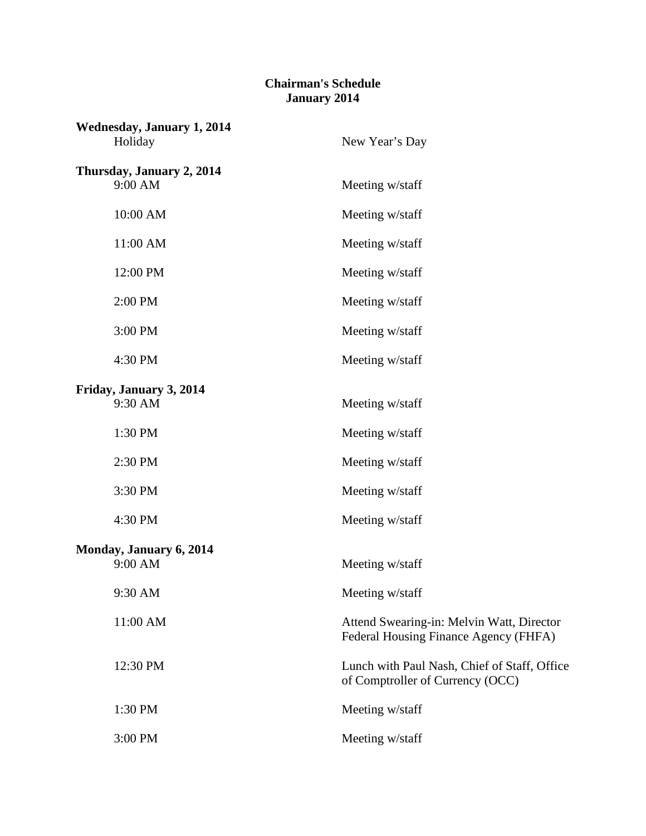## **Chairman's Schedule January 2014**

| <b>Wednesday, January 1, 2014</b><br>Holiday | New Year's Day                                                                     |
|----------------------------------------------|------------------------------------------------------------------------------------|
| Thursday, January 2, 2014<br>9:00 AM         | Meeting w/staff                                                                    |
| 10:00 AM                                     | Meeting w/staff                                                                    |
| 11:00 AM                                     | Meeting w/staff                                                                    |
| 12:00 PM                                     | Meeting w/staff                                                                    |
| 2:00 PM                                      | Meeting w/staff                                                                    |
| 3:00 PM                                      | Meeting w/staff                                                                    |
| 4:30 PM                                      | Meeting w/staff                                                                    |
| Friday, January 3, 2014<br>9:30 AM           | Meeting w/staff                                                                    |
| 1:30 PM                                      | Meeting w/staff                                                                    |
| 2:30 PM                                      | Meeting w/staff                                                                    |
| 3:30 PM                                      | Meeting w/staff                                                                    |
| 4:30 PM                                      | Meeting w/staff                                                                    |
| Monday, January 6, 2014<br>9:00 AM           | Meeting w/staff                                                                    |
| 9:30 AM                                      | Meeting w/staff                                                                    |
| 11:00 AM                                     | Attend Swearing-in: Melvin Watt, Director<br>Federal Housing Finance Agency (FHFA) |
| 12:30 PM                                     | Lunch with Paul Nash, Chief of Staff, Office<br>of Comptroller of Currency (OCC)   |
| 1:30 PM                                      | Meeting w/staff                                                                    |
| 3:00 PM                                      | Meeting w/staff                                                                    |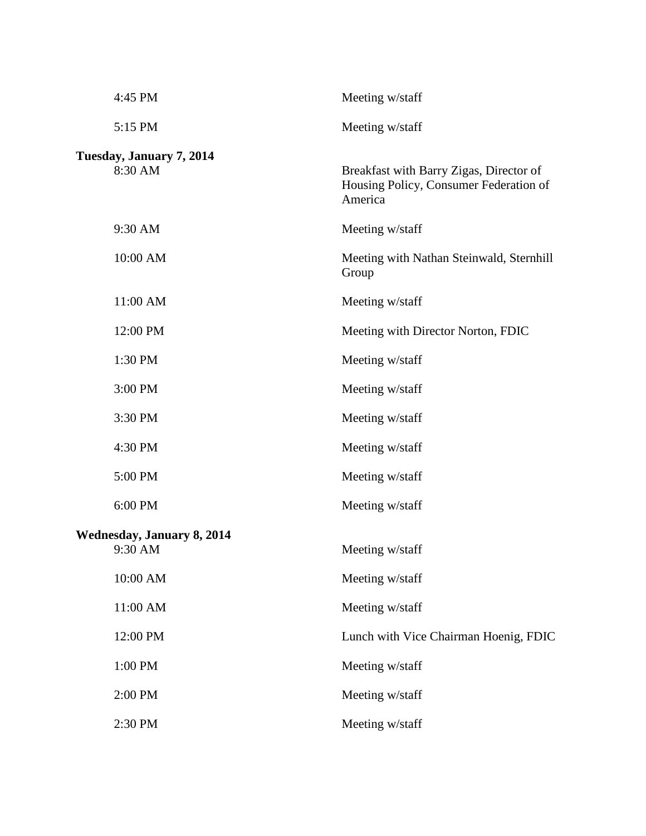| 4:45 PM                                      | Meeting w/staff                                                                              |
|----------------------------------------------|----------------------------------------------------------------------------------------------|
| 5:15 PM                                      | Meeting w/staff                                                                              |
| Tuesday, January 7, 2014<br>8:30 AM          | Breakfast with Barry Zigas, Director of<br>Housing Policy, Consumer Federation of<br>America |
| 9:30 AM                                      | Meeting w/staff                                                                              |
| 10:00 AM                                     | Meeting with Nathan Steinwald, Sternhill<br>Group                                            |
| 11:00 AM                                     | Meeting w/staff                                                                              |
| 12:00 PM                                     | Meeting with Director Norton, FDIC                                                           |
| 1:30 PM                                      | Meeting w/staff                                                                              |
| 3:00 PM                                      | Meeting w/staff                                                                              |
| 3:30 PM                                      | Meeting w/staff                                                                              |
| 4:30 PM                                      | Meeting w/staff                                                                              |
| 5:00 PM                                      | Meeting w/staff                                                                              |
| 6:00 PM                                      | Meeting w/staff                                                                              |
| <b>Wednesday, January 8, 2014</b><br>9:30 AM | Meeting w/staff                                                                              |
| 10:00 AM                                     | Meeting w/staff                                                                              |
| 11:00 AM                                     | Meeting w/staff                                                                              |
| 12:00 PM                                     | Lunch with Vice Chairman Hoenig, FDIC                                                        |
| 1:00 PM                                      | Meeting w/staff                                                                              |
| 2:00 PM                                      | Meeting w/staff                                                                              |
| 2:30 PM                                      | Meeting w/staff                                                                              |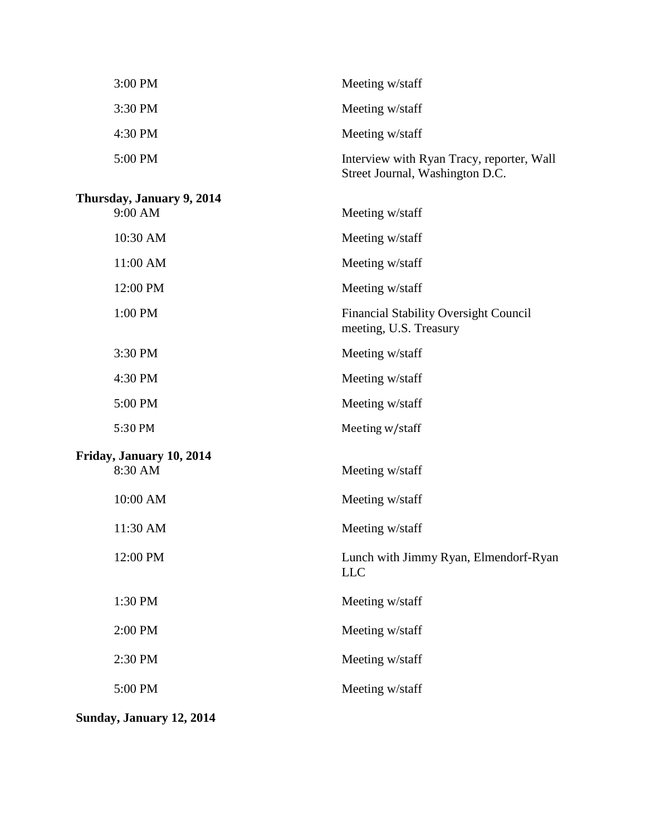| 3:00 PM                             | Meeting w/staff                                                              |
|-------------------------------------|------------------------------------------------------------------------------|
| 3:30 PM                             | Meeting w/staff                                                              |
| 4:30 PM                             | Meeting w/staff                                                              |
| 5:00 PM                             | Interview with Ryan Tracy, reporter, Wall<br>Street Journal, Washington D.C. |
| Thursday, January 9, 2014           |                                                                              |
| 9:00 AM                             | Meeting w/staff                                                              |
| 10:30 AM                            | Meeting w/staff                                                              |
| 11:00 AM                            | Meeting w/staff                                                              |
| 12:00 PM                            | Meeting w/staff                                                              |
| 1:00 PM                             | <b>Financial Stability Oversight Council</b><br>meeting, U.S. Treasury       |
| 3:30 PM                             | Meeting w/staff                                                              |
| 4:30 PM                             | Meeting w/staff                                                              |
| 5:00 PM                             | Meeting w/staff                                                              |
| 5:30 PM                             | Meeting w/staff                                                              |
| Friday, January 10, 2014<br>8:30 AM | Meeting w/staff                                                              |
| 10:00 AM                            | Meeting w/staff                                                              |
| 11:30 AM                            | Meeting w/staff                                                              |
| 12:00 PM                            | Lunch with Jimmy Ryan, Elmendorf-Ryan<br><b>LLC</b>                          |
| 1:30 PM                             | Meeting w/staff                                                              |
| 2:00 PM                             | Meeting w/staff                                                              |
| 2:30 PM                             | Meeting w/staff                                                              |
| 5:00 PM                             | Meeting w/staff                                                              |
|                                     |                                                                              |

**Sunday, January 12, 2014**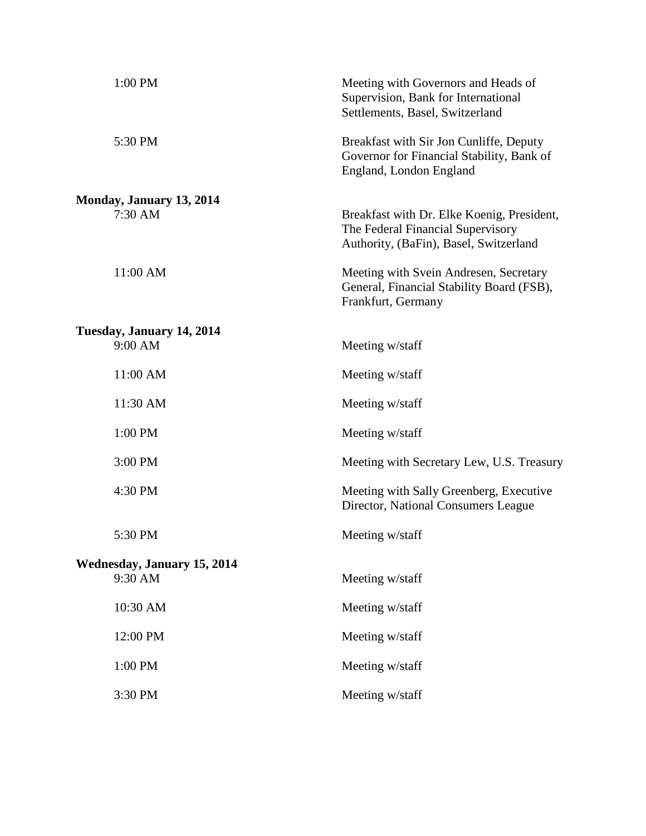| 1:00 PM                                       | Meeting with Governors and Heads of<br>Supervision, Bank for International<br>Settlements, Basel, Switzerland             |
|-----------------------------------------------|---------------------------------------------------------------------------------------------------------------------------|
| 5:30 PM                                       | Breakfast with Sir Jon Cunliffe, Deputy<br>Governor for Financial Stability, Bank of<br>England, London England           |
| Monday, January 13, 2014<br>7:30 AM           | Breakfast with Dr. Elke Koenig, President,<br>The Federal Financial Supervisory<br>Authority, (BaFin), Basel, Switzerland |
| 11:00 AM                                      | Meeting with Svein Andresen, Secretary<br>General, Financial Stability Board (FSB),<br>Frankfurt, Germany                 |
| Tuesday, January 14, 2014                     |                                                                                                                           |
| 9:00 AM                                       | Meeting w/staff                                                                                                           |
| 11:00 AM                                      | Meeting w/staff                                                                                                           |
| 11:30 AM                                      | Meeting w/staff                                                                                                           |
| 1:00 PM                                       | Meeting w/staff                                                                                                           |
| 3:00 PM                                       | Meeting with Secretary Lew, U.S. Treasury                                                                                 |
| 4:30 PM                                       | Meeting with Sally Greenberg, Executive<br>Director, National Consumers League                                            |
| 5:30 PM                                       | Meeting w/staff                                                                                                           |
| <b>Wednesday, January 15, 2014</b><br>9:30 AM | Meeting w/staff                                                                                                           |
| 10:30 AM                                      | Meeting w/staff                                                                                                           |
| 12:00 PM                                      | Meeting w/staff                                                                                                           |
| 1:00 PM                                       | Meeting w/staff                                                                                                           |
| 3:30 PM                                       | Meeting w/staff                                                                                                           |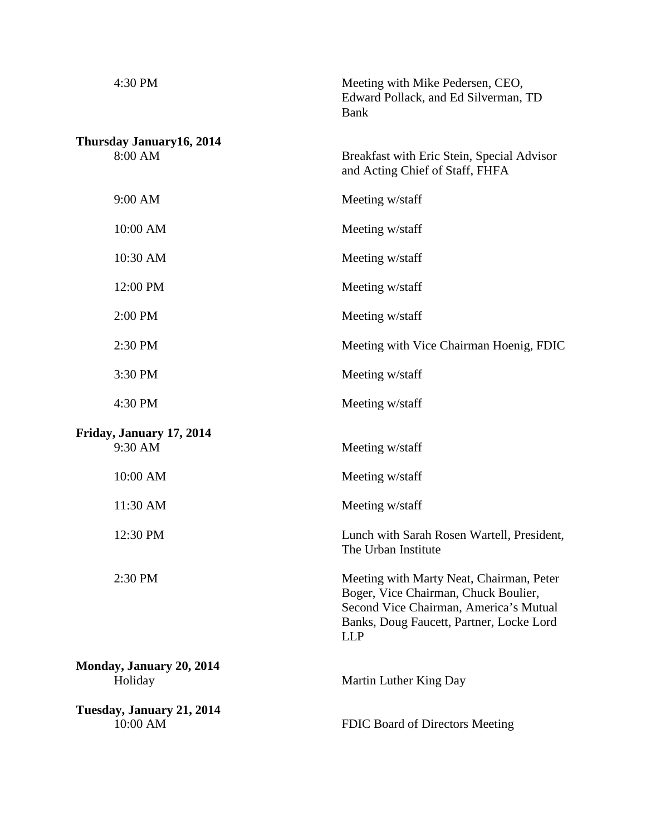| 4:30 PM                               | Meeting with Mike Pedersen, CEO,<br>Edward Pollack, and Ed Silverman, TD<br><b>Bank</b>                                                                                              |
|---------------------------------------|--------------------------------------------------------------------------------------------------------------------------------------------------------------------------------------|
| Thursday January16, 2014<br>8:00 AM   | Breakfast with Eric Stein, Special Advisor<br>and Acting Chief of Staff, FHFA                                                                                                        |
| 9:00 AM                               | Meeting w/staff                                                                                                                                                                      |
| 10:00 AM                              | Meeting w/staff                                                                                                                                                                      |
| 10:30 AM                              | Meeting w/staff                                                                                                                                                                      |
| 12:00 PM                              | Meeting w/staff                                                                                                                                                                      |
| 2:00 PM                               | Meeting w/staff                                                                                                                                                                      |
| 2:30 PM                               | Meeting with Vice Chairman Hoenig, FDIC                                                                                                                                              |
| 3:30 PM                               | Meeting w/staff                                                                                                                                                                      |
| 4:30 PM                               | Meeting w/staff                                                                                                                                                                      |
| Friday, January 17, 2014<br>9:30 AM   | Meeting w/staff                                                                                                                                                                      |
| 10:00 AM                              | Meeting w/staff                                                                                                                                                                      |
| 11:30 AM                              | Meeting w/staff                                                                                                                                                                      |
| 12:30 PM                              | Lunch with Sarah Rosen Wartell, President,<br>The Urban Institute                                                                                                                    |
| 2:30 PM                               | Meeting with Marty Neat, Chairman, Peter<br>Boger, Vice Chairman, Chuck Boulier,<br>Second Vice Chairman, America's Mutual<br>Banks, Doug Faucett, Partner, Locke Lord<br><b>LLP</b> |
| Monday, January 20, 2014<br>Holiday   | Martin Luther King Day                                                                                                                                                               |
| Tuesday, January 21, 2014<br>10:00 AM | FDIC Board of Directors Meeting                                                                                                                                                      |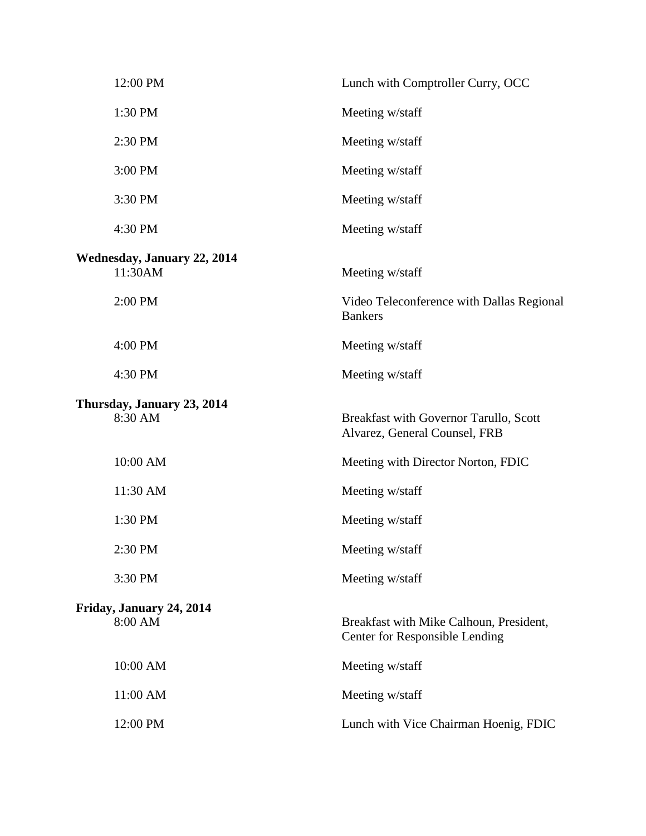| 12:00 PM                                      | Lunch with Comptroller Curry, OCC                                                |
|-----------------------------------------------|----------------------------------------------------------------------------------|
| 1:30 PM                                       | Meeting w/staff                                                                  |
| 2:30 PM                                       | Meeting w/staff                                                                  |
| 3:00 PM                                       | Meeting w/staff                                                                  |
| 3:30 PM                                       | Meeting w/staff                                                                  |
| 4:30 PM                                       | Meeting w/staff                                                                  |
| <b>Wednesday, January 22, 2014</b><br>11:30AM | Meeting w/staff                                                                  |
| 2:00 PM                                       | Video Teleconference with Dallas Regional<br><b>Bankers</b>                      |
| 4:00 PM                                       | Meeting w/staff                                                                  |
| 4:30 PM                                       | Meeting w/staff                                                                  |
| Thursday, January 23, 2014<br>8:30 AM         | Breakfast with Governor Tarullo, Scott<br>Alvarez, General Counsel, FRB          |
| 10:00 AM                                      | Meeting with Director Norton, FDIC                                               |
| 11:30 AM                                      | Meeting w/staff                                                                  |
| 1:30 PM                                       | Meeting w/staff                                                                  |
| 2:30 PM                                       | Meeting w/staff                                                                  |
| 3:30 PM                                       | Meeting w/staff                                                                  |
| Friday, January 24, 2014<br>8:00 AM           | Breakfast with Mike Calhoun, President,<br><b>Center for Responsible Lending</b> |
| 10:00 AM                                      | Meeting w/staff                                                                  |
| 11:00 AM                                      | Meeting w/staff                                                                  |
| 12:00 PM                                      | Lunch with Vice Chairman Hoenig, FDIC                                            |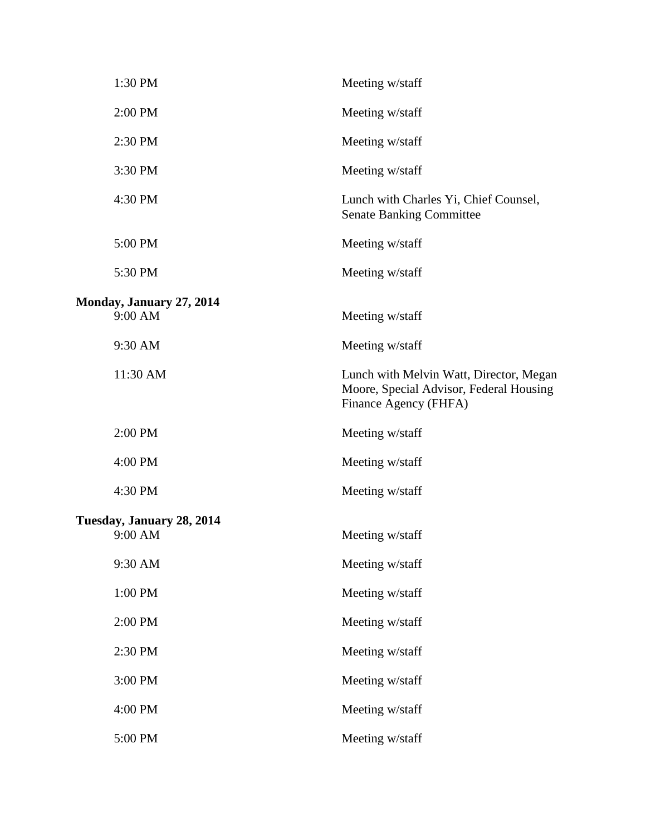| 1:30 PM                   | Meeting w/staff                                                                                             |
|---------------------------|-------------------------------------------------------------------------------------------------------------|
| 2:00 PM                   | Meeting w/staff                                                                                             |
| 2:30 PM                   | Meeting w/staff                                                                                             |
| 3:30 PM                   | Meeting w/staff                                                                                             |
| 4:30 PM                   | Lunch with Charles Yi, Chief Counsel,<br><b>Senate Banking Committee</b>                                    |
| 5:00 PM                   | Meeting w/staff                                                                                             |
| 5:30 PM                   | Meeting w/staff                                                                                             |
| Monday, January 27, 2014  |                                                                                                             |
| 9:00 AM                   | Meeting w/staff                                                                                             |
| 9:30 AM                   | Meeting w/staff                                                                                             |
| 11:30 AM                  | Lunch with Melvin Watt, Director, Megan<br>Moore, Special Advisor, Federal Housing<br>Finance Agency (FHFA) |
| 2:00 PM                   | Meeting w/staff                                                                                             |
| 4:00 PM                   | Meeting w/staff                                                                                             |
| 4:30 PM                   | Meeting w/staff                                                                                             |
| Tuesday, January 28, 2014 |                                                                                                             |
| 9:00 AM                   | Meeting w/staff                                                                                             |
| 9:30 AM                   | Meeting w/staff                                                                                             |
| 1:00 PM                   | Meeting w/staff                                                                                             |
| 2:00 PM                   | Meeting w/staff                                                                                             |
| 2:30 PM                   | Meeting w/staff                                                                                             |
| 3:00 PM                   | Meeting w/staff                                                                                             |
| 4:00 PM                   | Meeting w/staff                                                                                             |
| 5:00 PM                   | Meeting w/staff                                                                                             |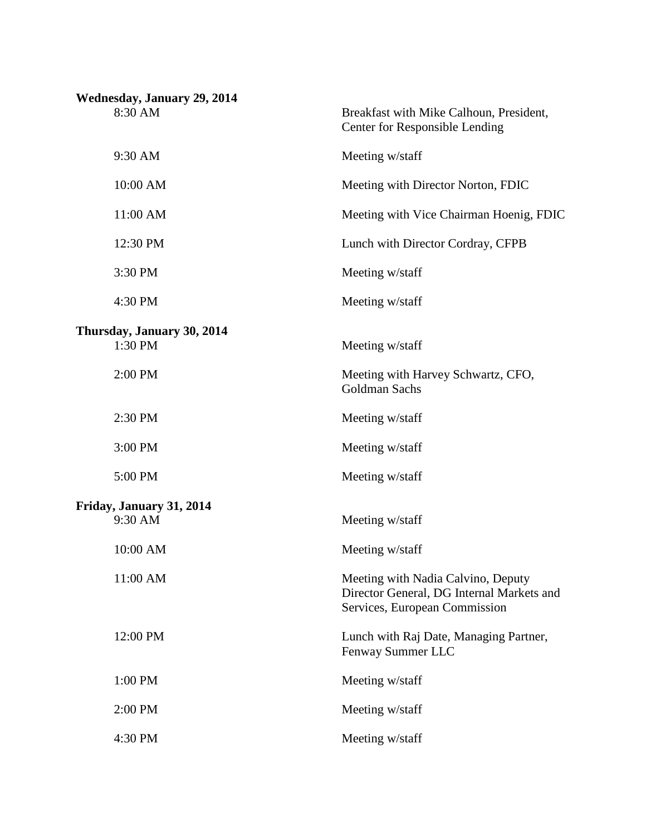| <b>Wednesday, January 29, 2014</b>    |                                                                                                                  |
|---------------------------------------|------------------------------------------------------------------------------------------------------------------|
| 8:30 AM                               | Breakfast with Mike Calhoun, President,<br><b>Center for Responsible Lending</b>                                 |
| 9:30 AM                               | Meeting w/staff                                                                                                  |
| 10:00 AM                              | Meeting with Director Norton, FDIC                                                                               |
| 11:00 AM                              | Meeting with Vice Chairman Hoenig, FDIC                                                                          |
| 12:30 PM                              | Lunch with Director Cordray, CFPB                                                                                |
| 3:30 PM                               | Meeting w/staff                                                                                                  |
| 4:30 PM                               | Meeting w/staff                                                                                                  |
|                                       |                                                                                                                  |
| Thursday, January 30, 2014<br>1:30 PM | Meeting w/staff                                                                                                  |
| 2:00 PM                               | Meeting with Harvey Schwartz, CFO,<br>Goldman Sachs                                                              |
| 2:30 PM                               | Meeting w/staff                                                                                                  |
| 3:00 PM                               | Meeting w/staff                                                                                                  |
| 5:00 PM                               | Meeting w/staff                                                                                                  |
| Friday, January 31, 2014              |                                                                                                                  |
| 9:30 AM                               | Meeting w/staff                                                                                                  |
| 10:00 AM                              | Meeting w/staff                                                                                                  |
| 11:00 AM                              | Meeting with Nadia Calvino, Deputy<br>Director General, DG Internal Markets and<br>Services, European Commission |
| 12:00 PM                              | Lunch with Raj Date, Managing Partner,<br>Fenway Summer LLC                                                      |
| 1:00 PM                               | Meeting w/staff                                                                                                  |
| 2:00 PM                               | Meeting w/staff                                                                                                  |
| 4:30 PM                               | Meeting w/staff                                                                                                  |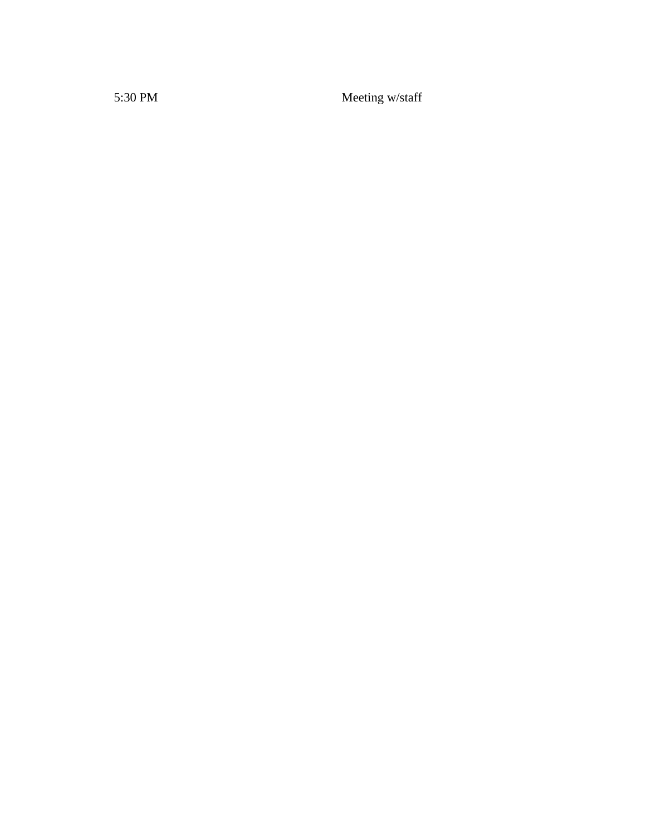5:30 PM Meeting w/staff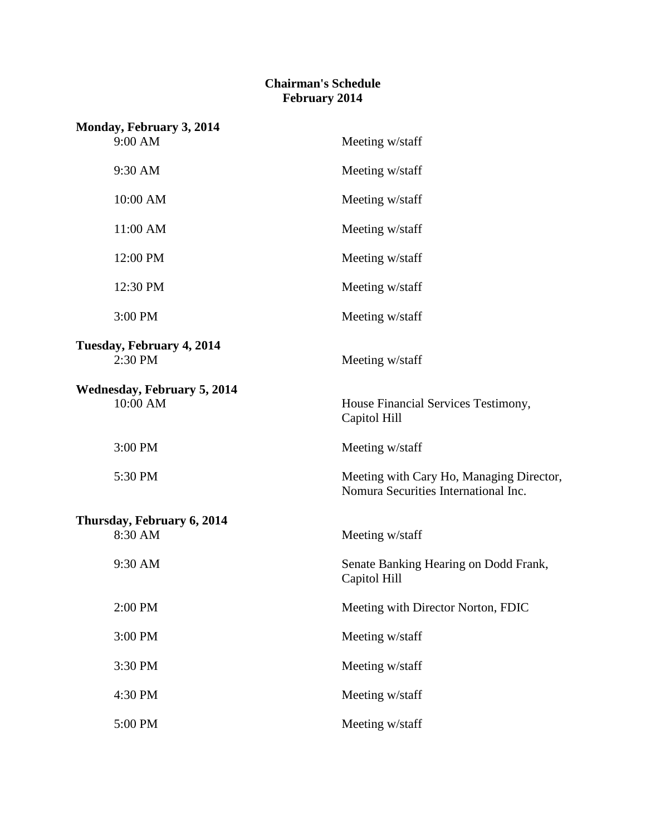## **Chairman's Schedule February 2014**

| Monday, February 3, 2014                       |                                                                                  |
|------------------------------------------------|----------------------------------------------------------------------------------|
| 9:00 AM                                        | Meeting w/staff                                                                  |
| 9:30 AM                                        | Meeting w/staff                                                                  |
| 10:00 AM                                       | Meeting w/staff                                                                  |
| 11:00 AM                                       | Meeting w/staff                                                                  |
| 12:00 PM                                       | Meeting w/staff                                                                  |
| 12:30 PM                                       | Meeting w/staff                                                                  |
| 3:00 PM                                        | Meeting w/staff                                                                  |
| Tuesday, February 4, 2014<br>2:30 PM           | Meeting w/staff                                                                  |
| <b>Wednesday, February 5, 2014</b><br>10:00 AM | House Financial Services Testimony,<br>Capitol Hill                              |
| 3:00 PM                                        | Meeting w/staff                                                                  |
| 5:30 PM                                        | Meeting with Cary Ho, Managing Director,<br>Nomura Securities International Inc. |
| Thursday, February 6, 2014                     |                                                                                  |
| 8:30 AM                                        | Meeting w/staff                                                                  |
| 9:30 AM                                        | Senate Banking Hearing on Dodd Frank,<br>Capitol Hill                            |
| 2:00 PM                                        | Meeting with Director Norton, FDIC                                               |
| 3:00 PM                                        | Meeting w/staff                                                                  |
| 3:30 PM                                        | Meeting w/staff                                                                  |
| 4:30 PM                                        | Meeting w/staff                                                                  |
| 5:00 PM                                        | Meeting w/staff                                                                  |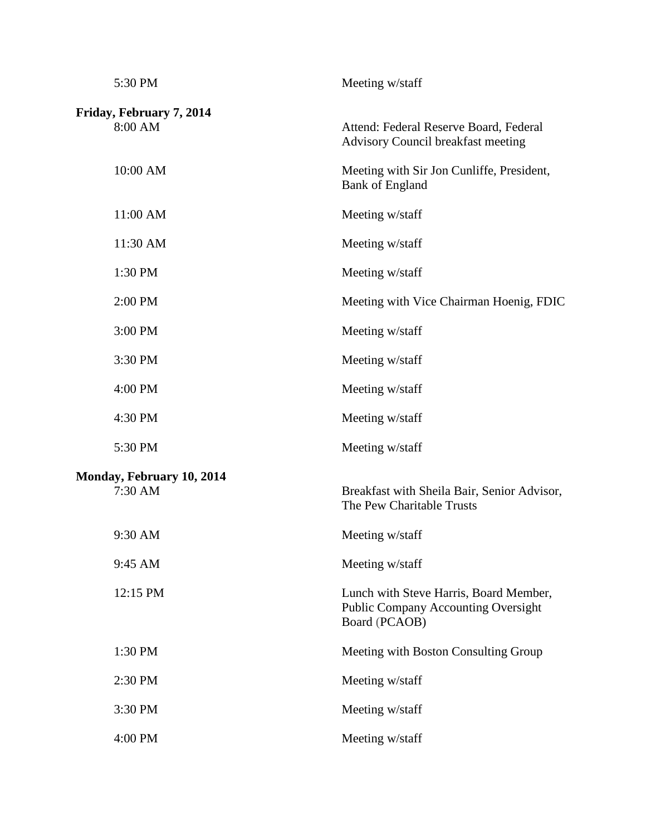| 5:30 PM                              | Meeting w/staff                                                                                       |
|--------------------------------------|-------------------------------------------------------------------------------------------------------|
| Friday, February 7, 2014<br>8:00 AM  | Attend: Federal Reserve Board, Federal<br><b>Advisory Council breakfast meeting</b>                   |
| 10:00 AM                             | Meeting with Sir Jon Cunliffe, President,<br><b>Bank of England</b>                                   |
| 11:00 AM                             | Meeting w/staff                                                                                       |
| 11:30 AM                             | Meeting w/staff                                                                                       |
| 1:30 PM                              | Meeting w/staff                                                                                       |
| 2:00 PM                              | Meeting with Vice Chairman Hoenig, FDIC                                                               |
| 3:00 PM                              | Meeting w/staff                                                                                       |
| 3:30 PM                              | Meeting w/staff                                                                                       |
| 4:00 PM                              | Meeting w/staff                                                                                       |
| 4:30 PM                              | Meeting w/staff                                                                                       |
| 5:30 PM                              | Meeting w/staff                                                                                       |
| Monday, February 10, 2014<br>7:30 AM | Breakfast with Sheila Bair, Senior Advisor,<br>The Pew Charitable Trusts                              |
| 9:30 AM                              | Meeting w/staff                                                                                       |
| 9:45 AM                              | Meeting w/staff                                                                                       |
| 12:15 PM                             | Lunch with Steve Harris, Board Member,<br><b>Public Company Accounting Oversight</b><br>Board (PCAOB) |
| 1:30 PM                              | Meeting with Boston Consulting Group                                                                  |
| 2:30 PM                              | Meeting w/staff                                                                                       |
| 3:30 PM                              | Meeting w/staff                                                                                       |
| 4:00 PM                              | Meeting w/staff                                                                                       |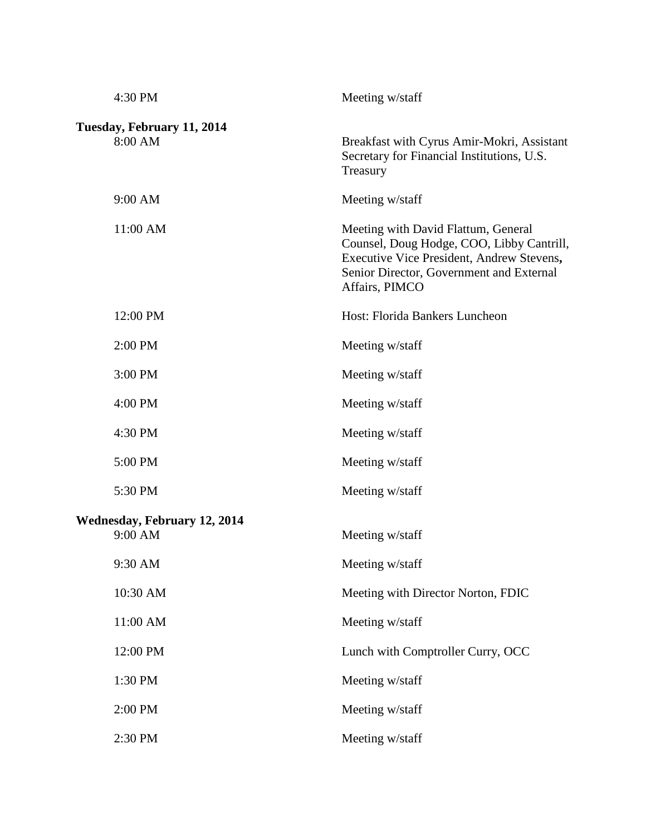| 4:30 PM                                        | Meeting w/staff                                                                                                                                                                             |
|------------------------------------------------|---------------------------------------------------------------------------------------------------------------------------------------------------------------------------------------------|
| Tuesday, February 11, 2014<br>8:00 AM          | Breakfast with Cyrus Amir-Mokri, Assistant<br>Secretary for Financial Institutions, U.S.<br>Treasury                                                                                        |
| 9:00 AM                                        | Meeting w/staff                                                                                                                                                                             |
| 11:00 AM                                       | Meeting with David Flattum, General<br>Counsel, Doug Hodge, COO, Libby Cantrill,<br>Executive Vice President, Andrew Stevens,<br>Senior Director, Government and External<br>Affairs, PIMCO |
| 12:00 PM                                       | Host: Florida Bankers Luncheon                                                                                                                                                              |
| 2:00 PM                                        | Meeting w/staff                                                                                                                                                                             |
| 3:00 PM                                        | Meeting w/staff                                                                                                                                                                             |
| 4:00 PM                                        | Meeting w/staff                                                                                                                                                                             |
| 4:30 PM                                        | Meeting w/staff                                                                                                                                                                             |
| 5:00 PM                                        | Meeting w/staff                                                                                                                                                                             |
| 5:30 PM                                        | Meeting w/staff                                                                                                                                                                             |
| <b>Wednesday, February 12, 2014</b><br>9:00 AM | Meeting w/staff                                                                                                                                                                             |
| 9:30 AM                                        | Meeting w/staff                                                                                                                                                                             |
| 10:30 AM                                       | Meeting with Director Norton, FDIC                                                                                                                                                          |
| 11:00 AM                                       | Meeting w/staff                                                                                                                                                                             |
| 12:00 PM                                       | Lunch with Comptroller Curry, OCC                                                                                                                                                           |
| 1:30 PM                                        | Meeting w/staff                                                                                                                                                                             |
| 2:00 PM                                        | Meeting w/staff                                                                                                                                                                             |
| 2:30 PM                                        | Meeting w/staff                                                                                                                                                                             |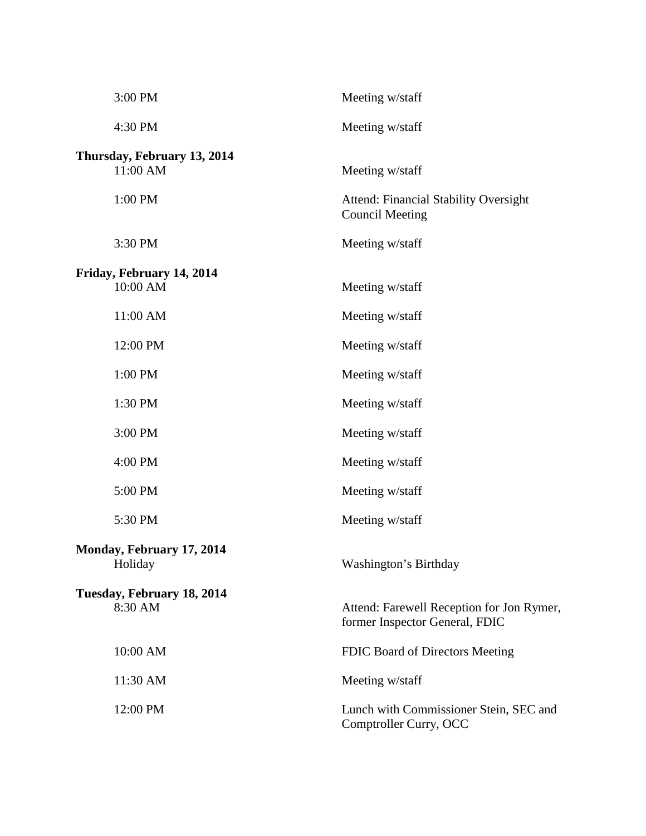| 3:00 PM                                 | Meeting w/staff                                                             |
|-----------------------------------------|-----------------------------------------------------------------------------|
| 4:30 PM                                 | Meeting w/staff                                                             |
| Thursday, February 13, 2014<br>11:00 AM | Meeting w/staff                                                             |
| 1:00 PM                                 | <b>Attend: Financial Stability Oversight</b><br><b>Council Meeting</b>      |
| 3:30 PM                                 | Meeting w/staff                                                             |
| Friday, February 14, 2014<br>10:00 AM   | Meeting w/staff                                                             |
| 11:00 AM                                | Meeting w/staff                                                             |
| 12:00 PM                                | Meeting w/staff                                                             |
| 1:00 PM                                 | Meeting w/staff                                                             |
| 1:30 PM                                 | Meeting w/staff                                                             |
| 3:00 PM                                 | Meeting w/staff                                                             |
| 4:00 PM                                 | Meeting w/staff                                                             |
| 5:00 PM                                 | Meeting w/staff                                                             |
| 5:30 PM                                 | Meeting w/staff                                                             |
| Monday, February 17, 2014<br>Holiday    | Washington's Birthday                                                       |
| Tuesday, February 18, 2014<br>8:30 AM   | Attend: Farewell Reception for Jon Rymer,<br>former Inspector General, FDIC |
| 10:00 AM                                | FDIC Board of Directors Meeting                                             |
| 11:30 AM                                | Meeting w/staff                                                             |
| 12:00 PM                                | Lunch with Commissioner Stein, SEC and<br>Comptroller Curry, OCC            |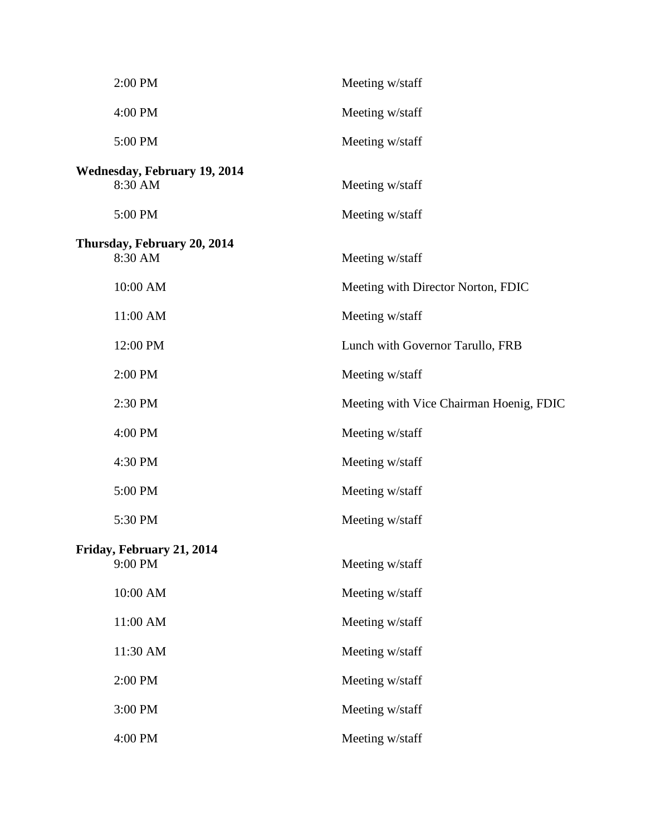| 2:00 PM                                        | Meeting w/staff                         |
|------------------------------------------------|-----------------------------------------|
| 4:00 PM                                        | Meeting w/staff                         |
| 5:00 PM                                        | Meeting w/staff                         |
| <b>Wednesday, February 19, 2014</b><br>8:30 AM | Meeting w/staff                         |
| 5:00 PM                                        | Meeting w/staff                         |
| Thursday, February 20, 2014<br>8:30 AM         | Meeting w/staff                         |
| 10:00 AM                                       | Meeting with Director Norton, FDIC      |
| 11:00 AM                                       | Meeting w/staff                         |
| 12:00 PM                                       | Lunch with Governor Tarullo, FRB        |
| 2:00 PM                                        | Meeting w/staff                         |
| 2:30 PM                                        | Meeting with Vice Chairman Hoenig, FDIC |
| 4:00 PM                                        | Meeting w/staff                         |
| 4:30 PM                                        | Meeting w/staff                         |
| 5:00 PM                                        | Meeting w/staff                         |
| 5:30 PM                                        | Meeting w/staff                         |
| Friday, February 21, 2014<br>9:00 PM           | Meeting w/staff                         |
| 10:00 AM                                       | Meeting w/staff                         |
| 11:00 AM                                       | Meeting w/staff                         |
| 11:30 AM                                       | Meeting w/staff                         |
| 2:00 PM                                        | Meeting w/staff                         |
| 3:00 PM                                        | Meeting w/staff                         |
| 4:00 PM                                        | Meeting w/staff                         |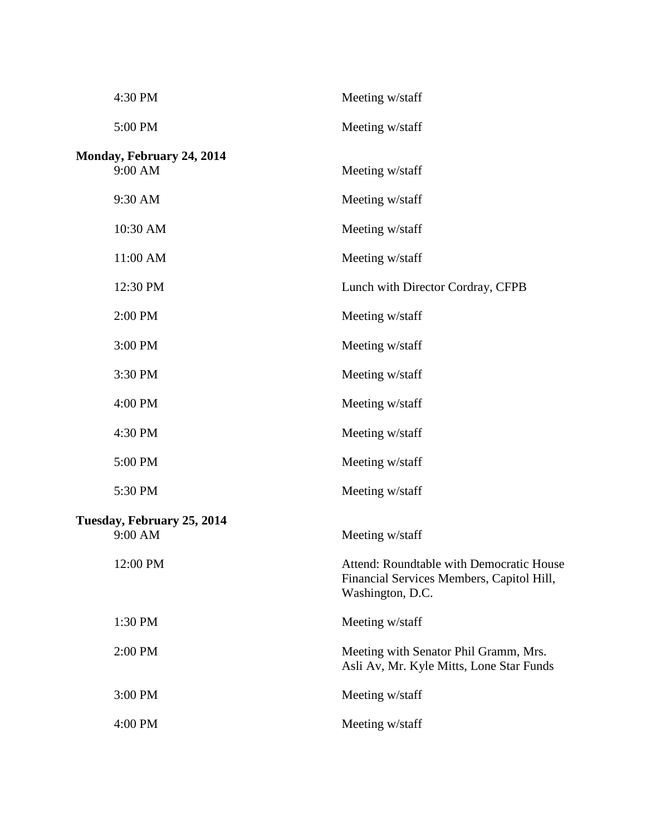| 4:30 PM                               | Meeting w/staff                                                                                           |
|---------------------------------------|-----------------------------------------------------------------------------------------------------------|
| 5:00 PM                               | Meeting w/staff                                                                                           |
| Monday, February 24, 2014<br>9:00 AM  | Meeting w/staff                                                                                           |
| 9:30 AM                               | Meeting w/staff                                                                                           |
| 10:30 AM                              | Meeting w/staff                                                                                           |
| 11:00 AM                              | Meeting w/staff                                                                                           |
| 12:30 PM                              | Lunch with Director Cordray, CFPB                                                                         |
| 2:00 PM                               | Meeting w/staff                                                                                           |
| 3:00 PM                               | Meeting w/staff                                                                                           |
| 3:30 PM                               | Meeting w/staff                                                                                           |
| 4:00 PM                               | Meeting w/staff                                                                                           |
| 4:30 PM                               | Meeting w/staff                                                                                           |
| 5:00 PM                               | Meeting w/staff                                                                                           |
| 5:30 PM                               | Meeting w/staff                                                                                           |
| Tuesday, February 25, 2014<br>9:00 AM | Meeting w/staff                                                                                           |
| 12:00 PM                              | Attend: Roundtable with Democratic House<br>Financial Services Members, Capitol Hill,<br>Washington, D.C. |
| 1:30 PM                               | Meeting w/staff                                                                                           |
| 2:00 PM                               | Meeting with Senator Phil Gramm, Mrs.<br>Asli Av, Mr. Kyle Mitts, Lone Star Funds                         |
| 3:00 PM                               | Meeting w/staff                                                                                           |
| 4:00 PM                               | Meeting w/staff                                                                                           |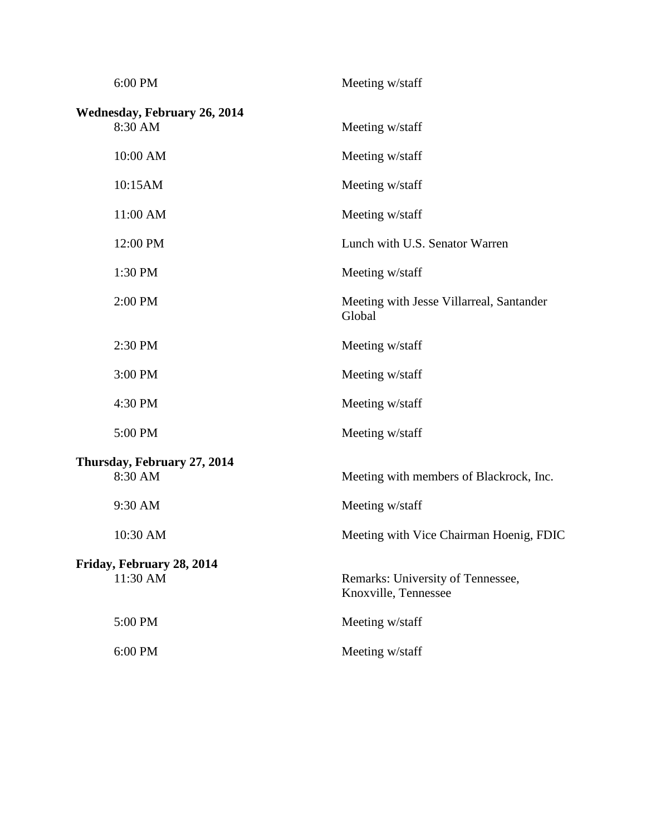| 6:00 PM                                        | Meeting w/staff                                           |
|------------------------------------------------|-----------------------------------------------------------|
| <b>Wednesday, February 26, 2014</b><br>8:30 AM | Meeting w/staff                                           |
| 10:00 AM                                       | Meeting w/staff                                           |
| 10:15AM                                        | Meeting w/staff                                           |
| 11:00 AM                                       | Meeting w/staff                                           |
| 12:00 PM                                       | Lunch with U.S. Senator Warren                            |
| 1:30 PM                                        | Meeting w/staff                                           |
| 2:00 PM                                        | Meeting with Jesse Villarreal, Santander<br>Global        |
| 2:30 PM                                        | Meeting w/staff                                           |
| 3:00 PM                                        | Meeting w/staff                                           |
| 4:30 PM                                        | Meeting w/staff                                           |
| 5:00 PM                                        | Meeting w/staff                                           |
| Thursday, February 27, 2014<br>8:30 AM         | Meeting with members of Blackrock, Inc.                   |
| 9:30 AM                                        | Meeting w/staff                                           |
| 10:30 AM                                       | Meeting with Vice Chairman Hoenig, FDIC                   |
| Friday, February 28, 2014<br>11:30 AM          | Remarks: University of Tennessee,<br>Knoxville, Tennessee |
| 5:00 PM                                        | Meeting w/staff                                           |
| 6:00 PM                                        | Meeting w/staff                                           |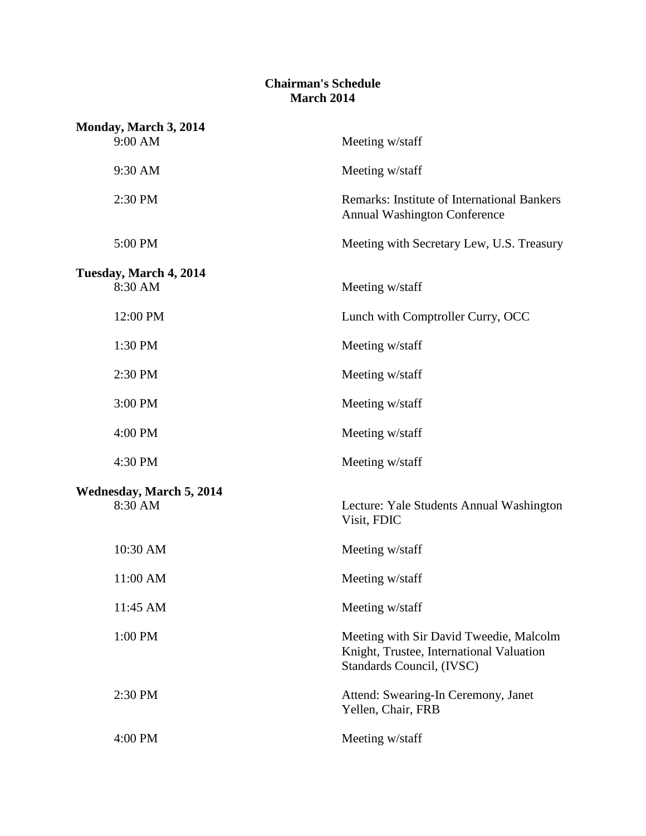## **Chairman's Schedule March 2014**

| Monday, March 3, 2014           |                                                                                                                  |
|---------------------------------|------------------------------------------------------------------------------------------------------------------|
| 9:00 AM                         | Meeting w/staff                                                                                                  |
| 9:30 AM                         | Meeting w/staff                                                                                                  |
| 2:30 PM                         | <b>Remarks: Institute of International Bankers</b><br><b>Annual Washington Conference</b>                        |
| 5:00 PM                         | Meeting with Secretary Lew, U.S. Treasury                                                                        |
| Tuesday, March 4, 2014          |                                                                                                                  |
| 8:30 AM                         | Meeting w/staff                                                                                                  |
| 12:00 PM                        | Lunch with Comptroller Curry, OCC                                                                                |
| 1:30 PM                         | Meeting w/staff                                                                                                  |
| 2:30 PM                         | Meeting w/staff                                                                                                  |
| 3:00 PM                         | Meeting w/staff                                                                                                  |
| 4:00 PM                         | Meeting w/staff                                                                                                  |
| 4:30 PM                         | Meeting w/staff                                                                                                  |
| <b>Wednesday, March 5, 2014</b> |                                                                                                                  |
| 8:30 AM                         | Lecture: Yale Students Annual Washington<br>Visit, FDIC                                                          |
| 10:30 AM                        | Meeting w/staff                                                                                                  |
| 11:00 AM                        | Meeting w/staff                                                                                                  |
| 11:45 AM                        | Meeting w/staff                                                                                                  |
| 1:00 PM                         | Meeting with Sir David Tweedie, Malcolm<br>Knight, Trustee, International Valuation<br>Standards Council, (IVSC) |
| 2:30 PM                         | Attend: Swearing-In Ceremony, Janet<br>Yellen, Chair, FRB                                                        |
| 4:00 PM                         | Meeting w/staff                                                                                                  |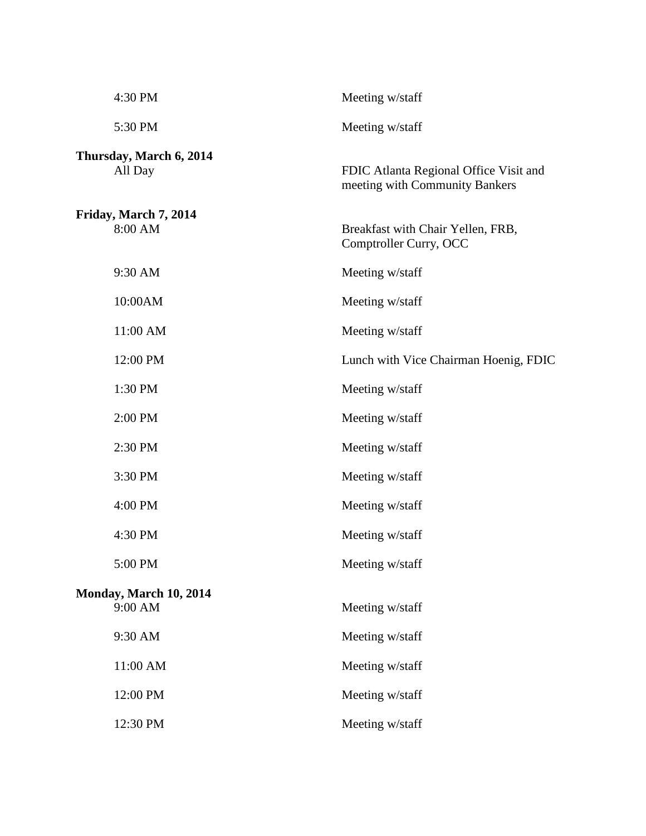| 4:30 PM                            | Meeting w/staff                                                          |
|------------------------------------|--------------------------------------------------------------------------|
| 5:30 PM                            | Meeting w/staff                                                          |
| Thursday, March 6, 2014<br>All Day | FDIC Atlanta Regional Office Visit and<br>meeting with Community Bankers |
| Friday, March 7, 2014<br>8:00 AM   | Breakfast with Chair Yellen, FRB,<br>Comptroller Curry, OCC              |
| 9:30 AM                            | Meeting w/staff                                                          |
| 10:00AM                            | Meeting w/staff                                                          |
| 11:00 AM                           | Meeting w/staff                                                          |
| 12:00 PM                           | Lunch with Vice Chairman Hoenig, FDIC                                    |
| 1:30 PM                            | Meeting w/staff                                                          |
| 2:00 PM                            | Meeting w/staff                                                          |
| 2:30 PM                            | Meeting w/staff                                                          |
| 3:30 PM                            | Meeting w/staff                                                          |
| 4:00 PM                            | Meeting w/staff                                                          |
| 4:30 PM                            | Meeting w/staff                                                          |
| 5:00 PM                            | Meeting w/staff                                                          |
| Monday, March 10, 2014<br>9:00 AM  | Meeting w/staff                                                          |
| 9:30 AM                            | Meeting w/staff                                                          |
| 11:00 AM                           | Meeting w/staff                                                          |
| 12:00 PM                           | Meeting w/staff                                                          |
| 12:30 PM                           | Meeting w/staff                                                          |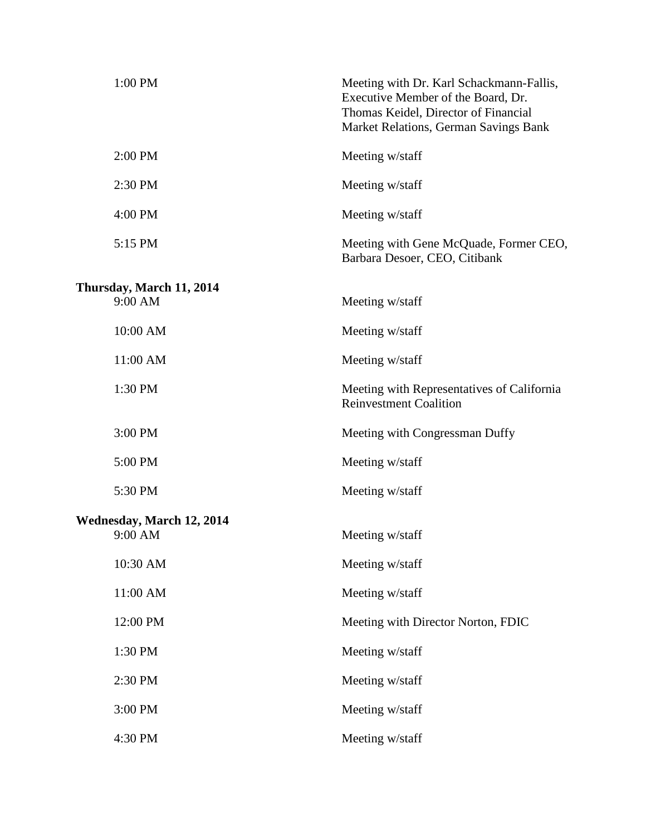| 1:00 PM                                     | Meeting with Dr. Karl Schackmann-Fallis,<br>Executive Member of the Board, Dr.<br>Thomas Keidel, Director of Financial<br>Market Relations, German Savings Bank |
|---------------------------------------------|-----------------------------------------------------------------------------------------------------------------------------------------------------------------|
| 2:00 PM                                     | Meeting w/staff                                                                                                                                                 |
| 2:30 PM                                     | Meeting w/staff                                                                                                                                                 |
| 4:00 PM                                     | Meeting w/staff                                                                                                                                                 |
| 5:15 PM                                     | Meeting with Gene McQuade, Former CEO,<br>Barbara Desoer, CEO, Citibank                                                                                         |
| Thursday, March 11, 2014<br>9:00 AM         | Meeting w/staff                                                                                                                                                 |
| 10:00 AM                                    | Meeting w/staff                                                                                                                                                 |
| 11:00 AM                                    | Meeting w/staff                                                                                                                                                 |
| 1:30 PM                                     | Meeting with Representatives of California<br><b>Reinvestment Coalition</b>                                                                                     |
| 3:00 PM                                     | Meeting with Congressman Duffy                                                                                                                                  |
| 5:00 PM                                     | Meeting w/staff                                                                                                                                                 |
| 5:30 PM                                     | Meeting w/staff                                                                                                                                                 |
| <b>Wednesday, March 12, 2014</b><br>9:00 AM | Meeting w/staff                                                                                                                                                 |
| 10:30 AM                                    | Meeting w/staff                                                                                                                                                 |
| 11:00 AM                                    | Meeting w/staff                                                                                                                                                 |
| 12:00 PM                                    | Meeting with Director Norton, FDIC                                                                                                                              |
| 1:30 PM                                     | Meeting w/staff                                                                                                                                                 |
| 2:30 PM                                     | Meeting w/staff                                                                                                                                                 |
| 3:00 PM                                     | Meeting w/staff                                                                                                                                                 |
| 4:30 PM                                     | Meeting w/staff                                                                                                                                                 |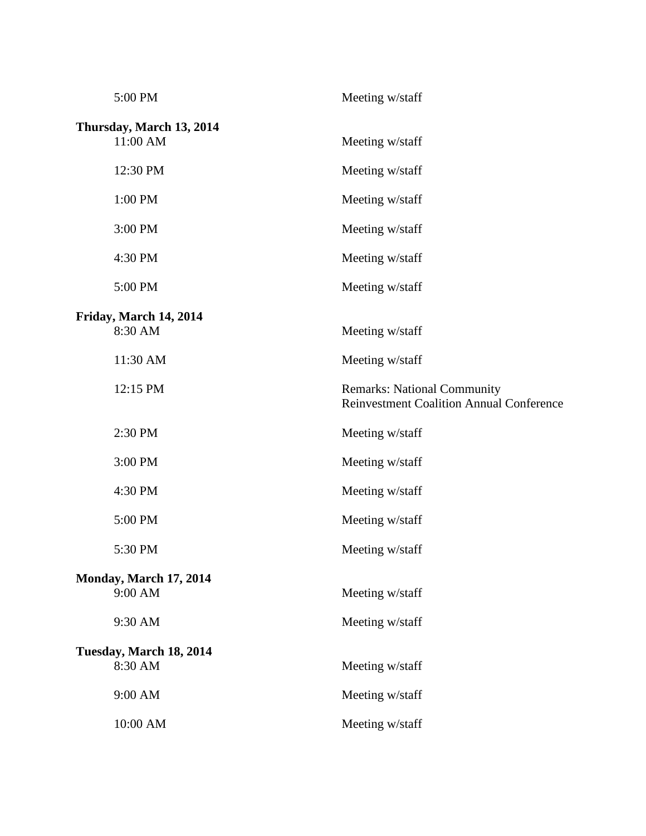| 5:00 PM                              | Meeting w/staff                                                                       |
|--------------------------------------|---------------------------------------------------------------------------------------|
| Thursday, March 13, 2014<br>11:00 AM | Meeting w/staff                                                                       |
| 12:30 PM                             | Meeting w/staff                                                                       |
| 1:00 PM                              | Meeting w/staff                                                                       |
| 3:00 PM                              | Meeting w/staff                                                                       |
| 4:30 PM                              | Meeting w/staff                                                                       |
| 5:00 PM                              | Meeting w/staff                                                                       |
| Friday, March 14, 2014<br>8:30 AM    | Meeting w/staff                                                                       |
| 11:30 AM                             | Meeting w/staff                                                                       |
| 12:15 PM                             | <b>Remarks: National Community</b><br><b>Reinvestment Coalition Annual Conference</b> |
|                                      |                                                                                       |
| 2:30 PM                              | Meeting w/staff                                                                       |
| 3:00 PM                              | Meeting w/staff                                                                       |
| 4:30 PM                              | Meeting w/staff                                                                       |
| 5:00 PM                              | Meeting w/staff                                                                       |
| 5:30 PM                              | Meeting w/staff                                                                       |
| Monday, March 17, 2014<br>9:00 AM    | Meeting w/staff                                                                       |
| 9:30 AM                              | Meeting w/staff                                                                       |
| Tuesday, March 18, 2014<br>8:30 AM   | Meeting w/staff                                                                       |
| 9:00 AM                              | Meeting w/staff                                                                       |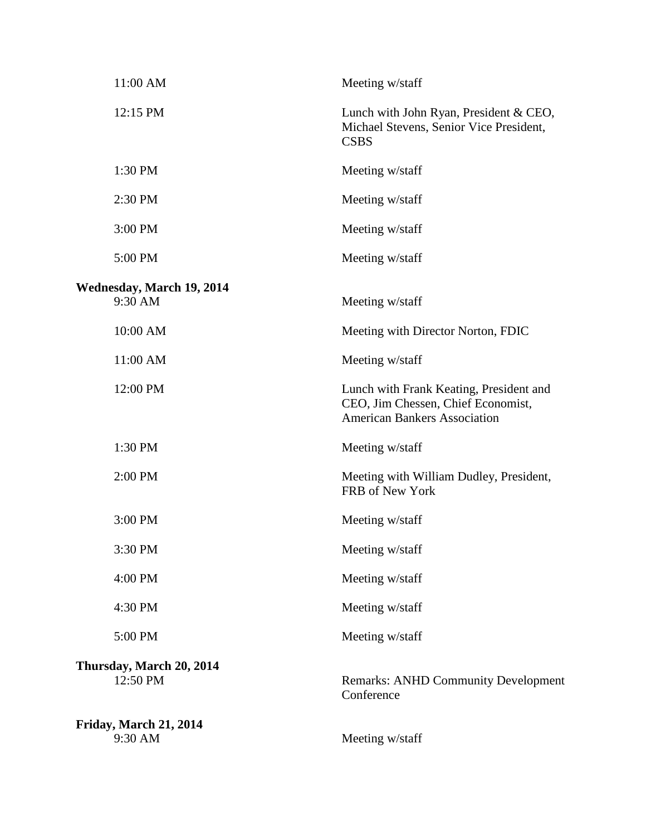| 11:00 AM                             | Meeting w/staff                                                                                                      |
|--------------------------------------|----------------------------------------------------------------------------------------------------------------------|
| 12:15 PM                             | Lunch with John Ryan, President & CEO,<br>Michael Stevens, Senior Vice President,<br><b>CSBS</b>                     |
| 1:30 PM                              | Meeting w/staff                                                                                                      |
| 2:30 PM                              | Meeting w/staff                                                                                                      |
| 3:00 PM                              | Meeting w/staff                                                                                                      |
| 5:00 PM                              | Meeting w/staff                                                                                                      |
| Wednesday, March 19, 2014<br>9:30 AM | Meeting w/staff                                                                                                      |
| 10:00 AM                             | Meeting with Director Norton, FDIC                                                                                   |
| 11:00 AM                             | Meeting w/staff                                                                                                      |
| 12:00 PM                             | Lunch with Frank Keating, President and<br>CEO, Jim Chessen, Chief Economist,<br><b>American Bankers Association</b> |
| 1:30 PM                              | Meeting w/staff                                                                                                      |
| 2:00 PM                              | Meeting with William Dudley, President,<br>FRB of New York                                                           |
| 3:00 PM                              | Meeting w/staff                                                                                                      |
| 3:30 PM                              | Meeting w/staff                                                                                                      |
| 4:00 PM                              | Meeting w/staff                                                                                                      |
| 4:30 PM                              | Meeting w/staff                                                                                                      |
| 5:00 PM                              | Meeting w/staff                                                                                                      |
| Thursday, March 20, 2014<br>12:50 PM | <b>Remarks: ANHD Community Development</b><br>Conference                                                             |
| Friday, March 21, 2014<br>9:30 AM    | Meeting w/staff                                                                                                      |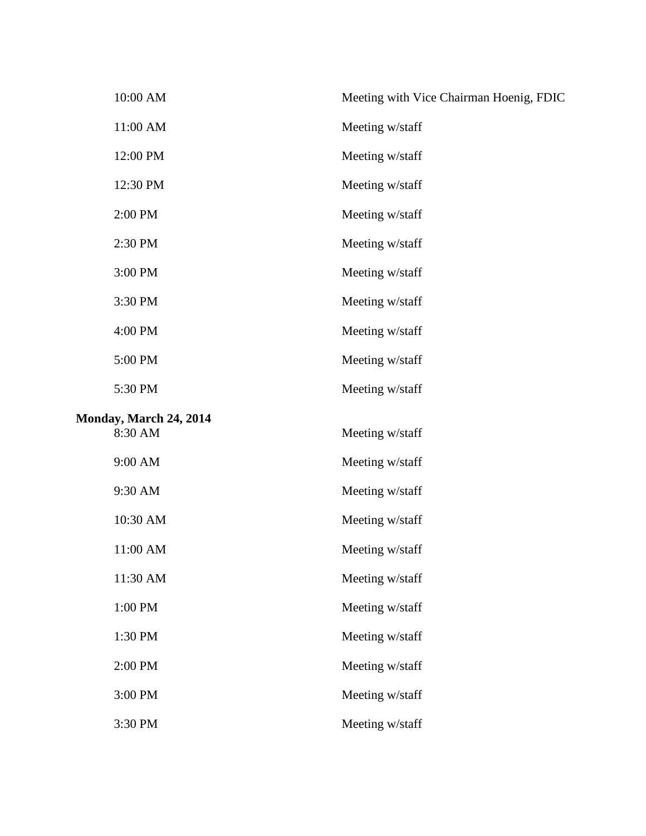|         | 10:00 AM                          | Meeting with Vice Chairman Hoenig, FDIC |
|---------|-----------------------------------|-----------------------------------------|
|         | 11:00 AM                          | Meeting w/staff                         |
|         | 12:00 PM                          | Meeting w/staff                         |
|         | 12:30 PM                          | Meeting w/staff                         |
|         | 2:00 PM                           | Meeting w/staff                         |
|         | 2:30 PM                           | Meeting w/staff                         |
| 3:00 PM |                                   | Meeting w/staff                         |
|         | 3:30 PM                           | Meeting w/staff                         |
|         | 4:00 PM                           | Meeting w/staff                         |
|         | 5:00 PM                           | Meeting w/staff                         |
|         | 5:30 PM                           | Meeting w/staff                         |
|         | Monday, March 24, 2014<br>8:30 AM | Meeting w/staff                         |
|         | 9:00 AM                           | Meeting w/staff                         |
|         | 9:30 AM                           | Meeting w/staff                         |
|         | 10:30 AM                          | Meeting w/staff                         |
|         | 11:00 AM                          | Meeting w/staff                         |
|         | 11:30 AM                          | Meeting w/staff                         |
|         | 1:00 PM                           | Meeting w/staff                         |
|         | 1:30 PM                           | Meeting w/staff                         |
|         | 2:00 PM                           | Meeting w/staff                         |
|         | 3:00 PM                           | Meeting w/staff                         |
|         | 3:30 PM                           | Meeting w/staff                         |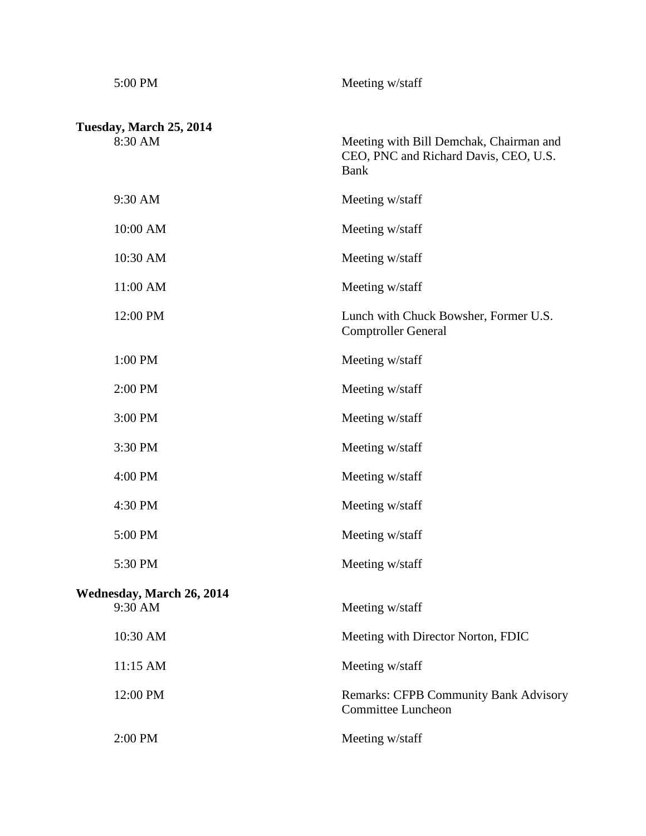| 5:00 PM                                     | Meeting w/staff                                                                                 |
|---------------------------------------------|-------------------------------------------------------------------------------------------------|
| Tuesday, March 25, 2014<br>8:30 AM          | Meeting with Bill Demchak, Chairman and<br>CEO, PNC and Richard Davis, CEO, U.S.<br><b>Bank</b> |
| 9:30 AM                                     | Meeting w/staff                                                                                 |
| 10:00 AM                                    | Meeting w/staff                                                                                 |
| 10:30 AM                                    | Meeting w/staff                                                                                 |
| 11:00 AM                                    | Meeting w/staff                                                                                 |
| 12:00 PM                                    | Lunch with Chuck Bowsher, Former U.S.<br><b>Comptroller General</b>                             |
| 1:00 PM                                     | Meeting w/staff                                                                                 |
| 2:00 PM                                     | Meeting w/staff                                                                                 |
| 3:00 PM                                     | Meeting w/staff                                                                                 |
| 3:30 PM                                     | Meeting w/staff                                                                                 |
| 4:00 PM                                     | Meeting w/staff                                                                                 |
| 4:30 PM                                     | Meeting w/staff                                                                                 |
| 5:00 PM                                     | Meeting w/staff                                                                                 |
| 5:30 PM                                     | Meeting w/staff                                                                                 |
| <b>Wednesday, March 26, 2014</b><br>9:30 AM | Meeting w/staff                                                                                 |
| 10:30 AM                                    | Meeting with Director Norton, FDIC                                                              |
| 11:15 AM                                    | Meeting w/staff                                                                                 |
| 12:00 PM                                    | <b>Remarks: CFPB Community Bank Advisory</b><br><b>Committee Luncheon</b>                       |
| 2:00 PM                                     | Meeting w/staff                                                                                 |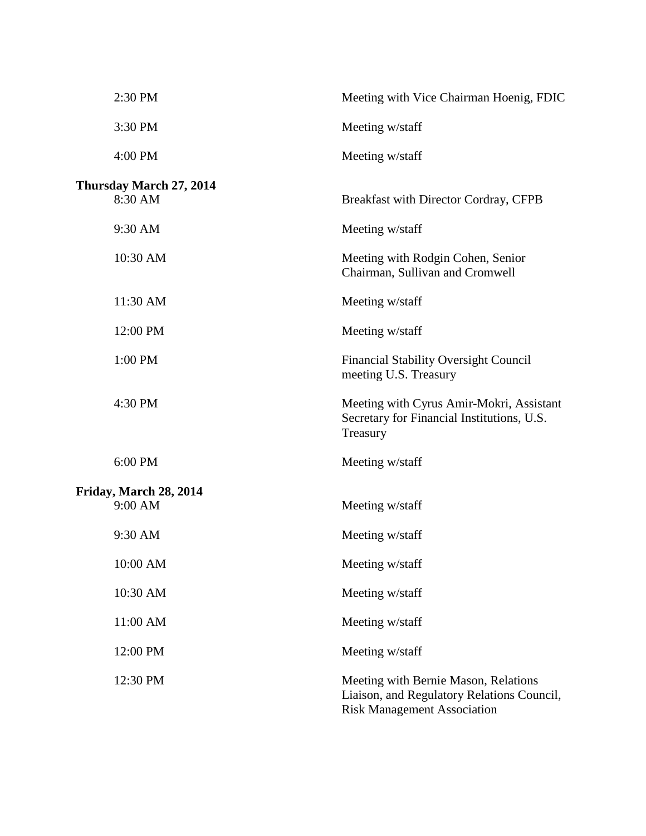| 2:30 PM                 | Meeting with Vice Chairman Hoenig, FDIC                                                                                  |
|-------------------------|--------------------------------------------------------------------------------------------------------------------------|
| 3:30 PM                 | Meeting w/staff                                                                                                          |
| 4:00 PM                 | Meeting w/staff                                                                                                          |
| Thursday March 27, 2014 |                                                                                                                          |
| 8:30 AM                 | Breakfast with Director Cordray, CFPB                                                                                    |
| 9:30 AM                 | Meeting w/staff                                                                                                          |
| 10:30 AM                | Meeting with Rodgin Cohen, Senior<br>Chairman, Sullivan and Cromwell                                                     |
| 11:30 AM                | Meeting w/staff                                                                                                          |
| 12:00 PM                | Meeting w/staff                                                                                                          |
| 1:00 PM                 | <b>Financial Stability Oversight Council</b><br>meeting U.S. Treasury                                                    |
| 4:30 PM                 | Meeting with Cyrus Amir-Mokri, Assistant<br>Secretary for Financial Institutions, U.S.<br>Treasury                       |
| 6:00 PM                 | Meeting w/staff                                                                                                          |
| Friday, March 28, 2014  |                                                                                                                          |
| 9:00 AM                 | Meeting w/staff                                                                                                          |
| 9:30 AM                 | Meeting w/staff                                                                                                          |
| 10:00 AM                | Meeting w/staff                                                                                                          |
| 10:30 AM                | Meeting w/staff                                                                                                          |
| 11:00 AM                | Meeting w/staff                                                                                                          |
| 12:00 PM                | Meeting w/staff                                                                                                          |
| 12:30 PM                | Meeting with Bernie Mason, Relations<br>Liaison, and Regulatory Relations Council,<br><b>Risk Management Association</b> |